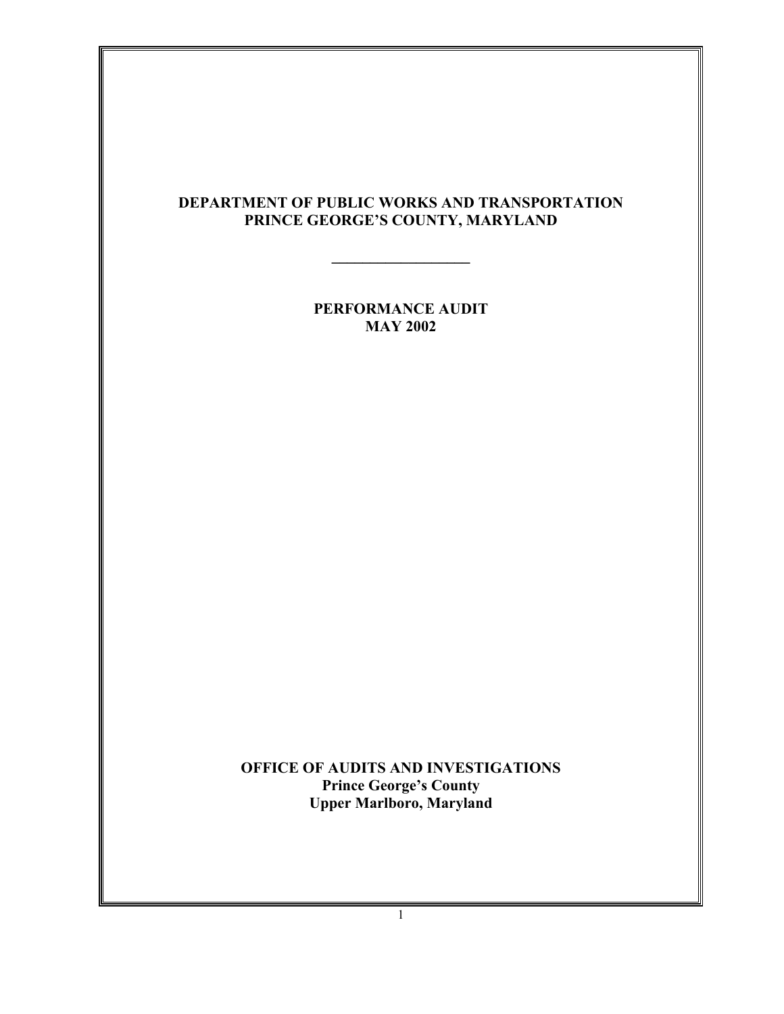# **DEPARTMENT OF PUBLIC WORKS AND TRANSPORTATION PRINCE GEORGE'S COUNTY, MARYLAND**

**\_\_\_\_\_\_\_\_\_\_\_\_\_\_\_\_\_\_**

**PERFORMANCE AUDIT MAY 2002**

**OFFICE OF AUDITS AND INVESTIGATIONS Prince George's County Upper Marlboro, Maryland**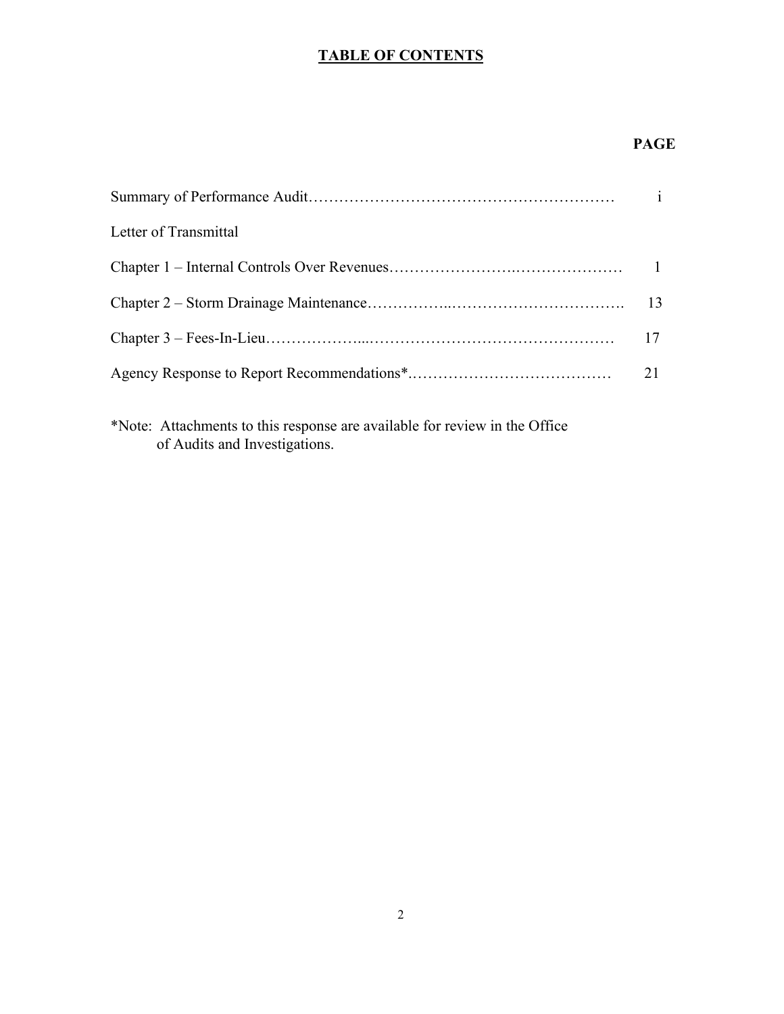# **TABLE OF CONTENTS**

# **PAGE**

|                       | $\mathbf{i}$ |
|-----------------------|--------------|
| Letter of Transmittal |              |
|                       |              |
|                       | 13           |
|                       | 17           |
|                       | 21           |
|                       |              |

\*Note: Attachments to this response are available for review in the Office of Audits and Investigations.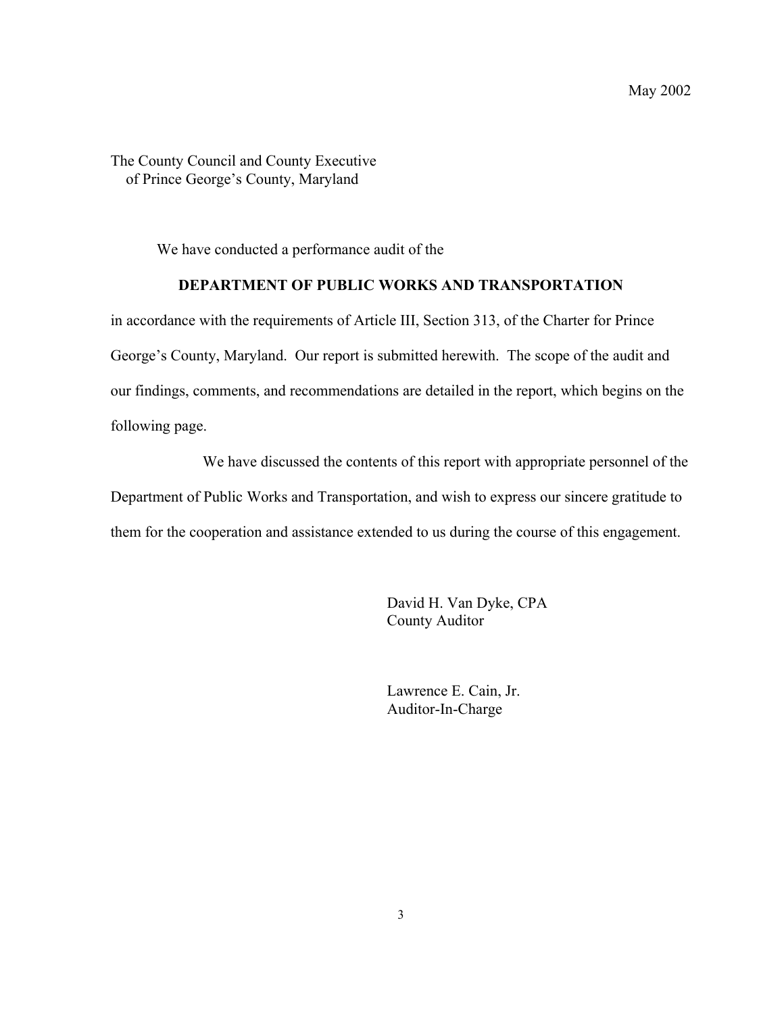The County Council and County Executive of Prince George's County, Maryland

We have conducted a performance audit of the

### **DEPARTMENT OF PUBLIC WORKS AND TRANSPORTATION**

in accordance with the requirements of Article III, Section 313, of the Charter for Prince George's County, Maryland. Our report is submitted herewith. The scope of the audit and our findings, comments, and recommendations are detailed in the report, which begins on the following page.

We have discussed the contents of this report with appropriate personnel of the Department of Public Works and Transportation, and wish to express our sincere gratitude to them for the cooperation and assistance extended to us during the course of this engagement.

> David H. Van Dyke, CPA County Auditor

Lawrence E. Cain, Jr. Auditor-In-Charge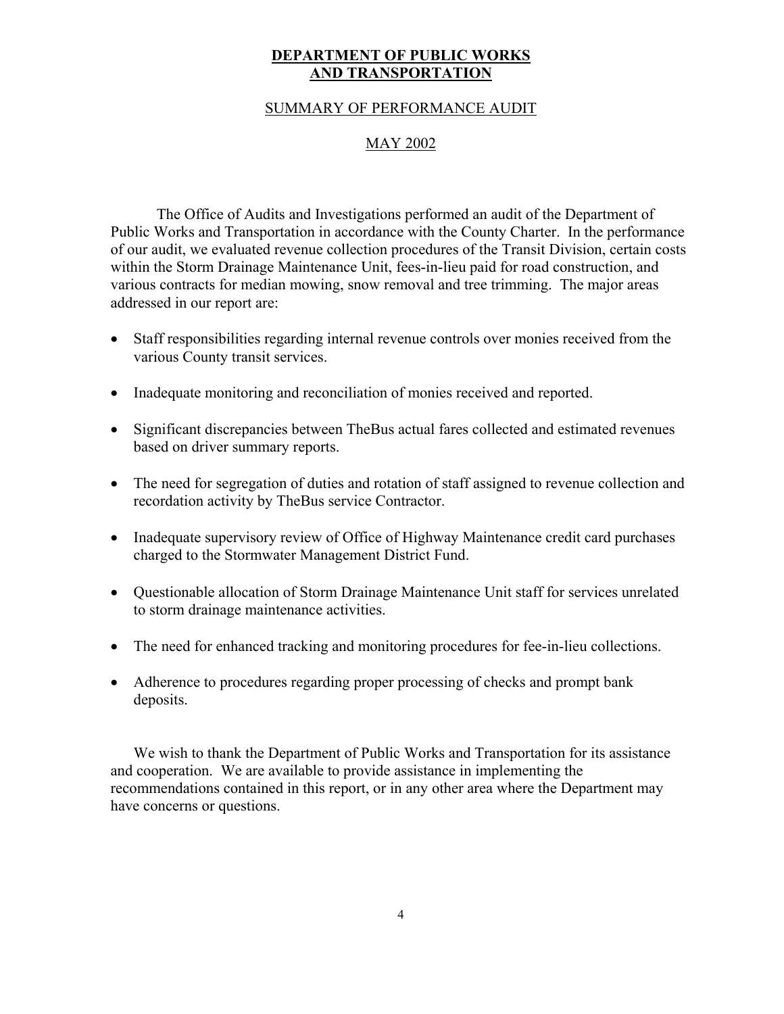### **DEPARTMENT OF PUBLIC WORKS AND TRANSPORTATION**

#### SUMMARY OF PERFORMANCE AUDIT

### MAY 2002

The Office of Audits and Investigations performed an audit of the Department of Public Works and Transportation in accordance with the County Charter. In the performance of our audit, we evaluated revenue collection procedures of the Transit Division, certain costs within the Storm Drainage Maintenance Unit, fees-in-lieu paid for road construction, and various contracts for median mowing, snow removal and tree trimming. The major areas addressed in our report are:

- Staff responsibilities regarding internal revenue controls over monies received from the various County transit services.
- Inadequate monitoring and reconciliation of monies received and reported.
- Significant discrepancies between TheBus actual fares collected and estimated revenues based on driver summary reports.
- The need for segregation of duties and rotation of staff assigned to revenue collection and recordation activity by TheBus service Contractor.
- Inadequate supervisory review of Office of Highway Maintenance credit card purchases charged to the Stormwater Management District Fund.
- Questionable allocation of Storm Drainage Maintenance Unit staff for services unrelated to storm drainage maintenance activities.
- The need for enhanced tracking and monitoring procedures for fee-in-lieu collections.
- Adherence to procedures regarding proper processing of checks and prompt bank deposits.

We wish to thank the Department of Public Works and Transportation for its assistance and cooperation. We are available to provide assistance in implementing the recommendations contained in this report, or in any other area where the Department may have concerns or questions.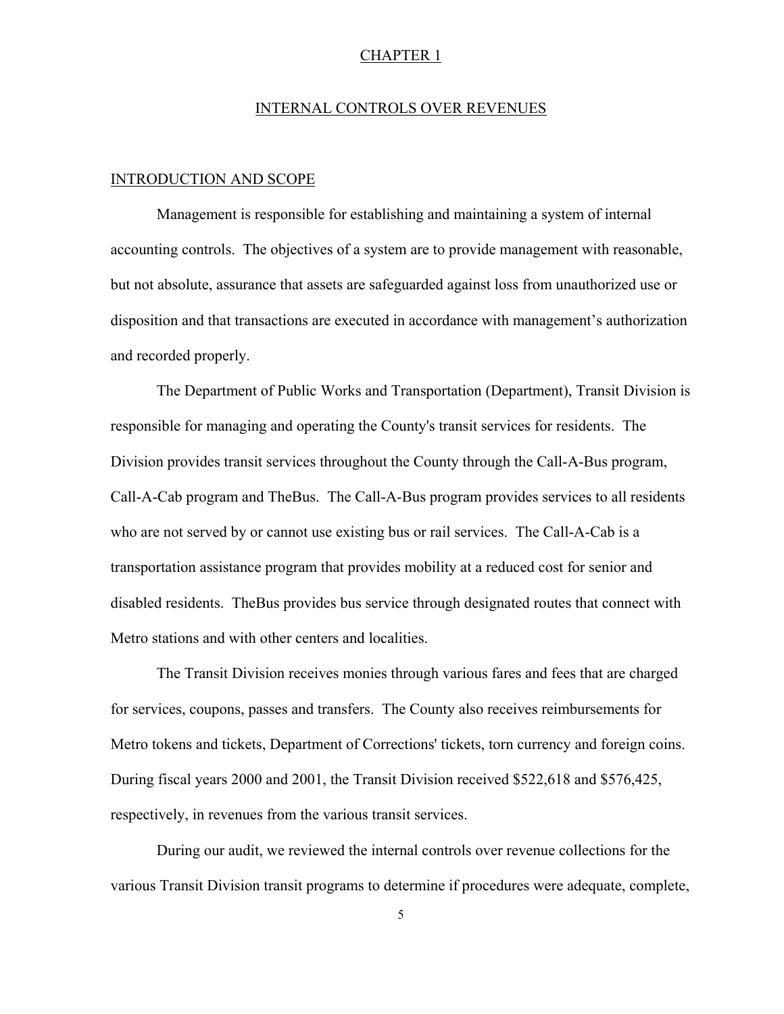#### CHAPTER 1

#### INTERNAL CONTROLS OVER REVENUES

#### INTRODUCTION AND SCOPE

Management is responsible for establishing and maintaining a system of internal accounting controls. The objectives of a system are to provide management with reasonable, but not absolute, assurance that assets are safeguarded against loss from unauthorized use or disposition and that transactions are executed in accordance with management's authorization and recorded properly.

The Department of Public Works and Transportation (Department), Transit Division is responsible for managing and operating the County's transit services for residents. The Division provides transit services throughout the County through the Call-A-Bus program, Call-A-Cab program and TheBus. The Call-A-Bus program provides services to all residents who are not served by or cannot use existing bus or rail services. The Call-A-Cab is a transportation assistance program that provides mobility at a reduced cost for senior and disabled residents. TheBus provides bus service through designated routes that connect with Metro stations and with other centers and localities.

The Transit Division receives monies through various fares and fees that are charged for services, coupons, passes and transfers. The County also receives reimbursements for Metro tokens and tickets, Department of Corrections' tickets, torn currency and foreign coins. During fiscal years 2000 and 2001, the Transit Division received \$522,618 and \$576,425, respectively, in revenues from the various transit services.

During our audit, we reviewed the internal controls over revenue collections for the various Transit Division transit programs to determine if procedures were adequate, complete,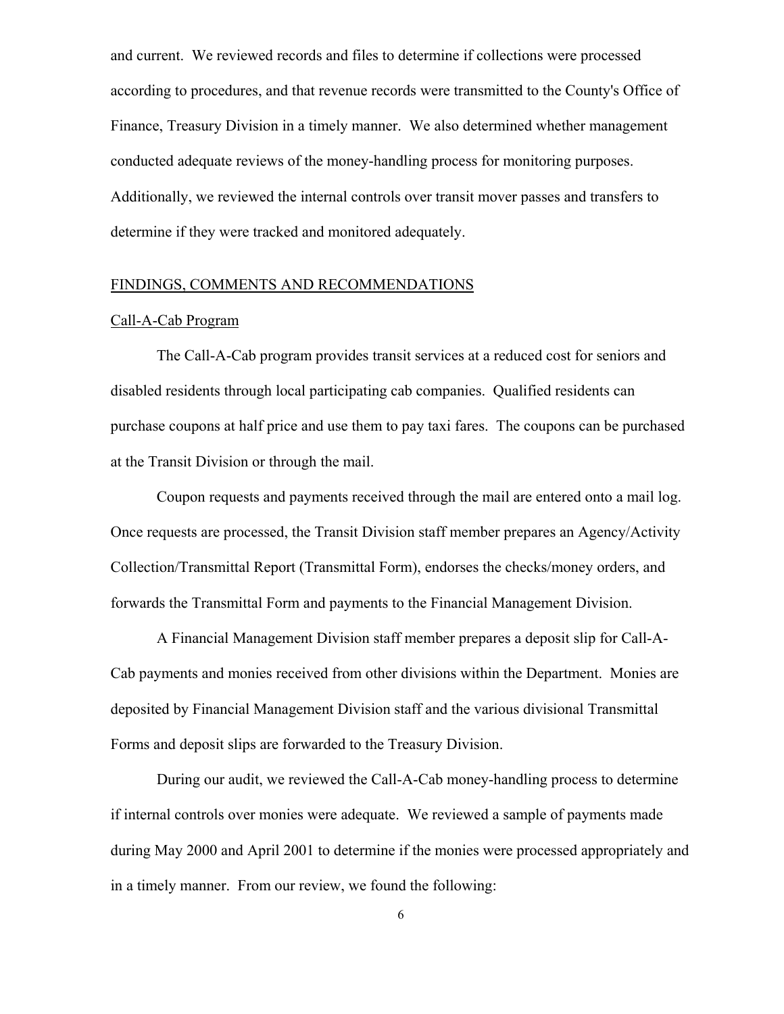and current. We reviewed records and files to determine if collections were processed according to procedures, and that revenue records were transmitted to the County's Office of Finance, Treasury Division in a timely manner. We also determined whether management conducted adequate reviews of the money-handling process for monitoring purposes. Additionally, we reviewed the internal controls over transit mover passes and transfers to determine if they were tracked and monitored adequately.

#### FINDINGS, COMMENTS AND RECOMMENDATIONS

#### Call-A-Cab Program

The Call-A-Cab program provides transit services at a reduced cost for seniors and disabled residents through local participating cab companies. Qualified residents can purchase coupons at half price and use them to pay taxi fares. The coupons can be purchased at the Transit Division or through the mail.

Coupon requests and payments received through the mail are entered onto a mail log. Once requests are processed, the Transit Division staff member prepares an Agency/Activity Collection/Transmittal Report (Transmittal Form), endorses the checks/money orders, and forwards the Transmittal Form and payments to the Financial Management Division.

A Financial Management Division staff member prepares a deposit slip for Call-A-Cab payments and monies received from other divisions within the Department. Monies are deposited by Financial Management Division staff and the various divisional Transmittal Forms and deposit slips are forwarded to the Treasury Division.

During our audit, we reviewed the Call-A-Cab money-handling process to determine if internal controls over monies were adequate. We reviewed a sample of payments made during May 2000 and April 2001 to determine if the monies were processed appropriately and in a timely manner. From our review, we found the following: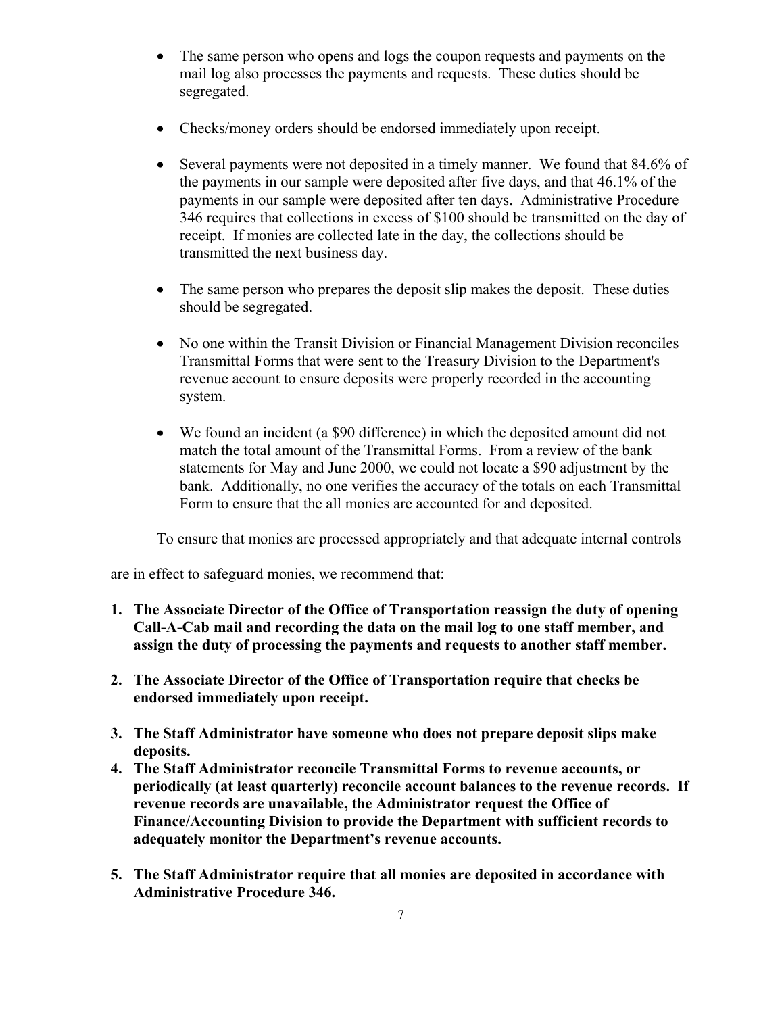- The same person who opens and logs the coupon requests and payments on the mail log also processes the payments and requests. These duties should be segregated.
- Checks/money orders should be endorsed immediately upon receipt.
- Several payments were not deposited in a timely manner. We found that 84.6% of the payments in our sample were deposited after five days, and that 46.1% of the payments in our sample were deposited after ten days. Administrative Procedure 346 requires that collections in excess of \$100 should be transmitted on the day of receipt. If monies are collected late in the day, the collections should be transmitted the next business day.
- The same person who prepares the deposit slip makes the deposit. These duties should be segregated.
- No one within the Transit Division or Financial Management Division reconciles Transmittal Forms that were sent to the Treasury Division to the Department's revenue account to ensure deposits were properly recorded in the accounting system.
- We found an incident (a \$90 difference) in which the deposited amount did not match the total amount of the Transmittal Forms. From a review of the bank statements for May and June 2000, we could not locate a \$90 adjustment by the bank. Additionally, no one verifies the accuracy of the totals on each Transmittal Form to ensure that the all monies are accounted for and deposited.

To ensure that monies are processed appropriately and that adequate internal controls

are in effect to safeguard monies, we recommend that:

- **1. The Associate Director of the Office of Transportation reassign the duty of opening Call-A-Cab mail and recording the data on the mail log to one staff member, and assign the duty of processing the payments and requests to another staff member.**
- **2. The Associate Director of the Office of Transportation require that checks be endorsed immediately upon receipt.**
- **3. The Staff Administrator have someone who does not prepare deposit slips make deposits.**
- **4. The Staff Administrator reconcile Transmittal Forms to revenue accounts, or periodically (at least quarterly) reconcile account balances to the revenue records. If revenue records are unavailable, the Administrator request the Office of Finance/Accounting Division to provide the Department with sufficient records to adequately monitor the Department's revenue accounts.**
- **5. The Staff Administrator require that all monies are deposited in accordance with Administrative Procedure 346.**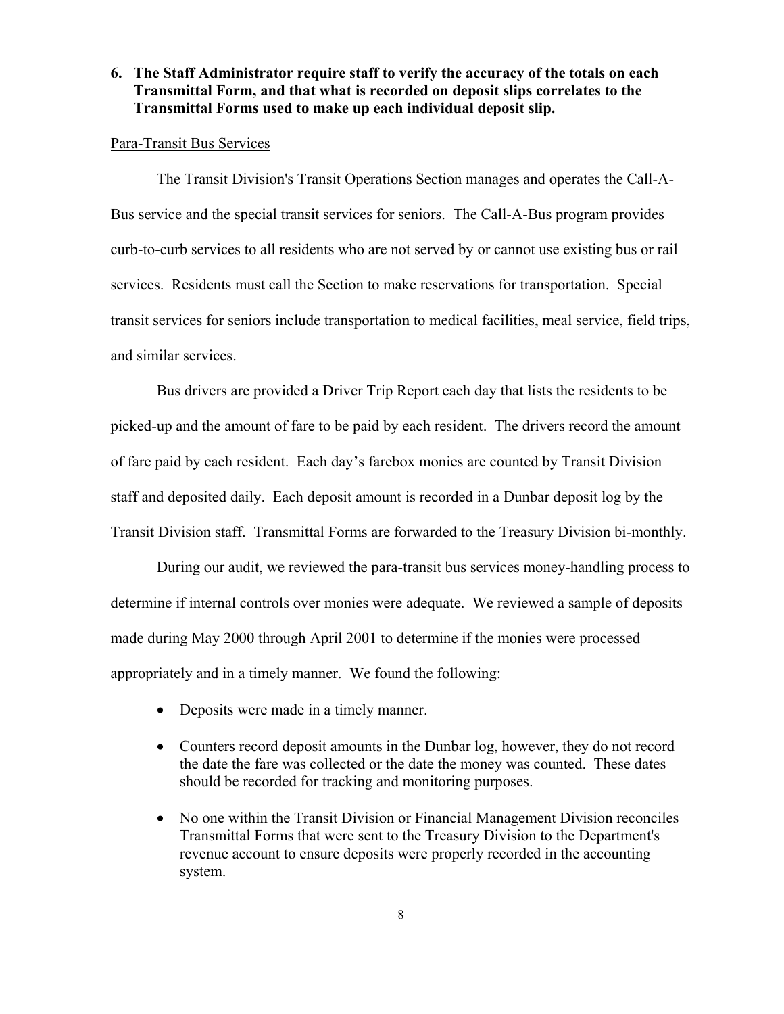## **6. The Staff Administrator require staff to verify the accuracy of the totals on each Transmittal Form, and that what is recorded on deposit slips correlates to the Transmittal Forms used to make up each individual deposit slip.**

#### Para-Transit Bus Services

The Transit Division's Transit Operations Section manages and operates the Call-A-Bus service and the special transit services for seniors. The Call-A-Bus program provides curb-to-curb services to all residents who are not served by or cannot use existing bus or rail services. Residents must call the Section to make reservations for transportation. Special transit services for seniors include transportation to medical facilities, meal service, field trips, and similar services.

Bus drivers are provided a Driver Trip Report each day that lists the residents to be picked-up and the amount of fare to be paid by each resident. The drivers record the amount of fare paid by each resident. Each day's farebox monies are counted by Transit Division staff and deposited daily. Each deposit amount is recorded in a Dunbar deposit log by the Transit Division staff. Transmittal Forms are forwarded to the Treasury Division bi-monthly.

During our audit, we reviewed the para-transit bus services money-handling process to determine if internal controls over monies were adequate. We reviewed a sample of deposits made during May 2000 through April 2001 to determine if the monies were processed appropriately and in a timely manner. We found the following:

- Deposits were made in a timely manner.
- Counters record deposit amounts in the Dunbar log, however, they do not record the date the fare was collected or the date the money was counted. These dates should be recorded for tracking and monitoring purposes.
- No one within the Transit Division or Financial Management Division reconciles Transmittal Forms that were sent to the Treasury Division to the Department's revenue account to ensure deposits were properly recorded in the accounting system.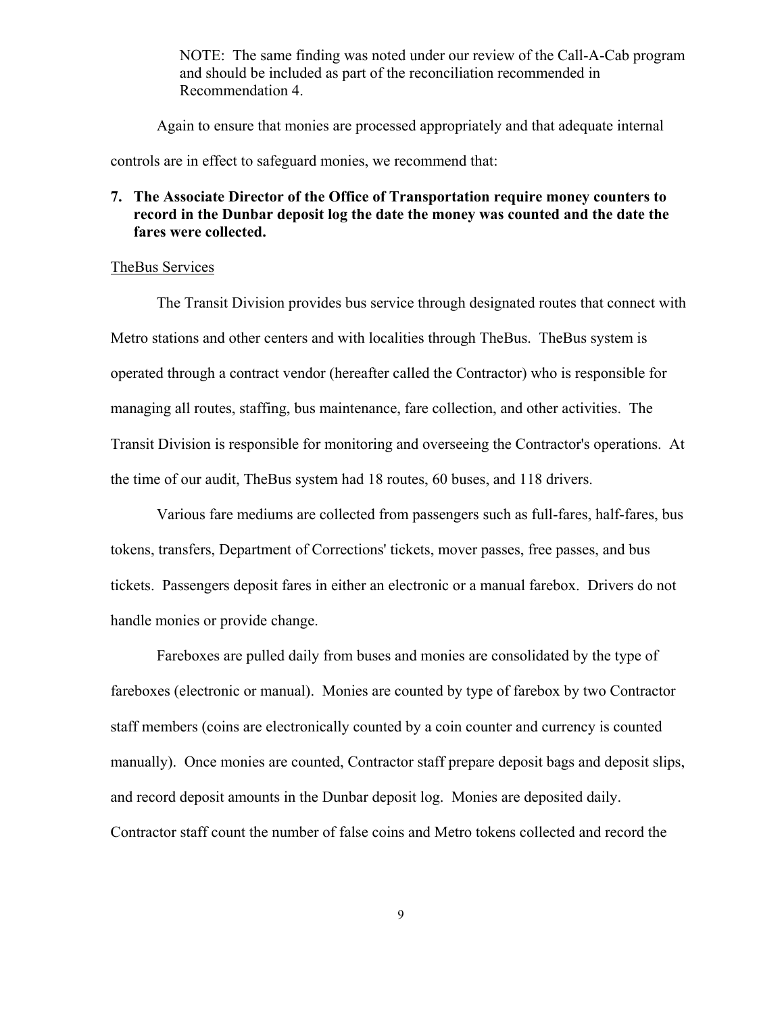NOTE: The same finding was noted under our review of the Call-A-Cab program and should be included as part of the reconciliation recommended in Recommendation 4.

Again to ensure that monies are processed appropriately and that adequate internal

controls are in effect to safeguard monies, we recommend that:

## **7. The Associate Director of the Office of Transportation require money counters to record in the Dunbar deposit log the date the money was counted and the date the fares were collected.**

#### TheBus Services

The Transit Division provides bus service through designated routes that connect with Metro stations and other centers and with localities through TheBus. TheBus system is operated through a contract vendor (hereafter called the Contractor) who is responsible for managing all routes, staffing, bus maintenance, fare collection, and other activities. The Transit Division is responsible for monitoring and overseeing the Contractor's operations. At the time of our audit, TheBus system had 18 routes, 60 buses, and 118 drivers.

Various fare mediums are collected from passengers such as full-fares, half-fares, bus tokens, transfers, Department of Corrections' tickets, mover passes, free passes, and bus tickets. Passengers deposit fares in either an electronic or a manual farebox. Drivers do not handle monies or provide change.

Fareboxes are pulled daily from buses and monies are consolidated by the type of fareboxes (electronic or manual). Monies are counted by type of farebox by two Contractor staff members (coins are electronically counted by a coin counter and currency is counted manually). Once monies are counted, Contractor staff prepare deposit bags and deposit slips, and record deposit amounts in the Dunbar deposit log. Monies are deposited daily. Contractor staff count the number of false coins and Metro tokens collected and record the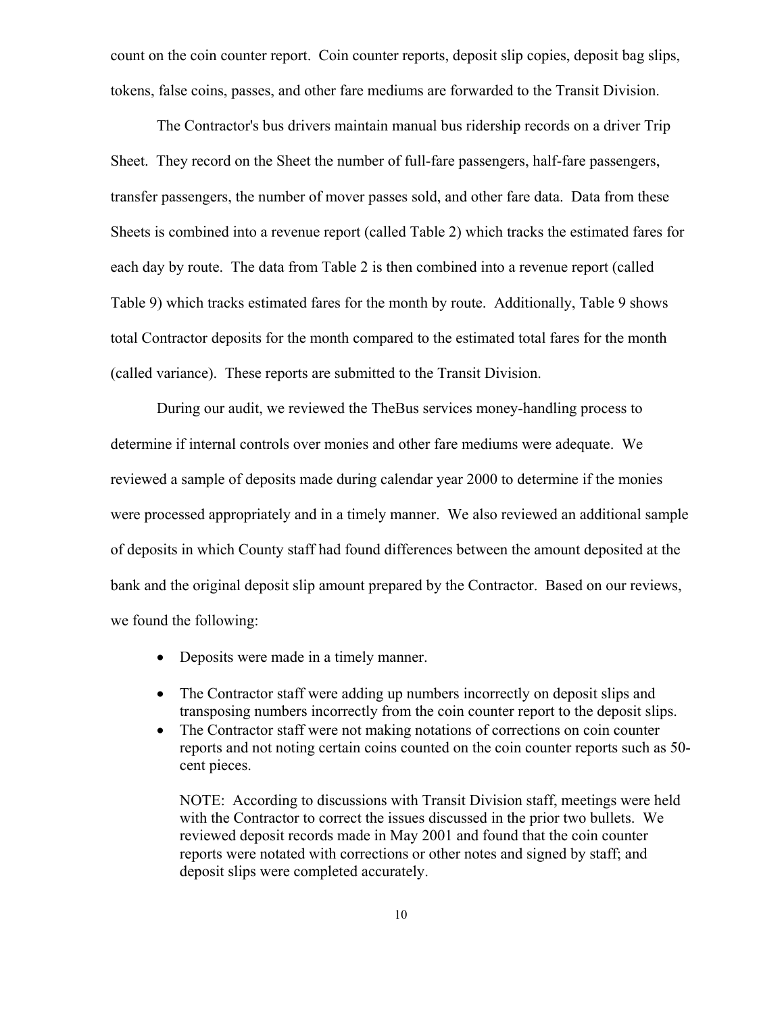count on the coin counter report. Coin counter reports, deposit slip copies, deposit bag slips, tokens, false coins, passes, and other fare mediums are forwarded to the Transit Division.

The Contractor's bus drivers maintain manual bus ridership records on a driver Trip Sheet. They record on the Sheet the number of full-fare passengers, half-fare passengers, transfer passengers, the number of mover passes sold, and other fare data. Data from these Sheets is combined into a revenue report (called Table 2) which tracks the estimated fares for each day by route. The data from Table 2 is then combined into a revenue report (called Table 9) which tracks estimated fares for the month by route. Additionally, Table 9 shows total Contractor deposits for the month compared to the estimated total fares for the month (called variance). These reports are submitted to the Transit Division.

During our audit, we reviewed the TheBus services money-handling process to determine if internal controls over monies and other fare mediums were adequate. We reviewed a sample of deposits made during calendar year 2000 to determine if the monies were processed appropriately and in a timely manner. We also reviewed an additional sample of deposits in which County staff had found differences between the amount deposited at the bank and the original deposit slip amount prepared by the Contractor. Based on our reviews, we found the following:

- Deposits were made in a timely manner.
- The Contractor staff were adding up numbers incorrectly on deposit slips and transposing numbers incorrectly from the coin counter report to the deposit slips.
- The Contractor staff were not making notations of corrections on coin counter reports and not noting certain coins counted on the coin counter reports such as 50 cent pieces.

NOTE: According to discussions with Transit Division staff, meetings were held with the Contractor to correct the issues discussed in the prior two bullets. We reviewed deposit records made in May 2001 and found that the coin counter reports were notated with corrections or other notes and signed by staff; and deposit slips were completed accurately.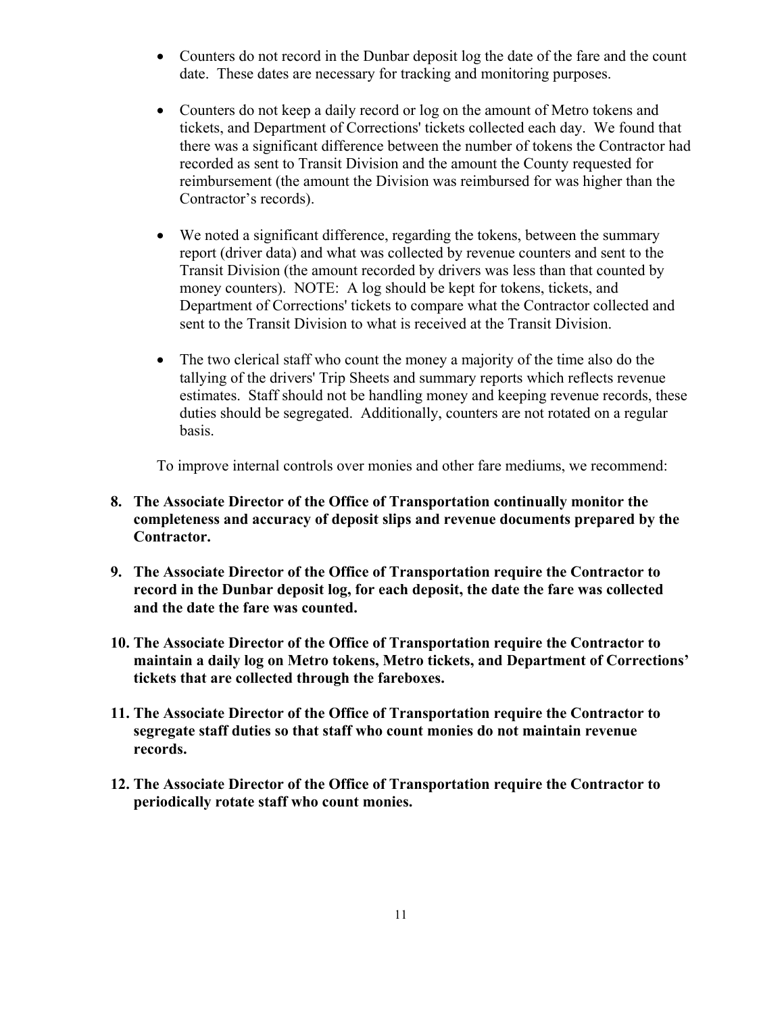- Counters do not record in the Dunbar deposit log the date of the fare and the count date. These dates are necessary for tracking and monitoring purposes.
- Counters do not keep a daily record or log on the amount of Metro tokens and tickets, and Department of Corrections' tickets collected each day. We found that there was a significant difference between the number of tokens the Contractor had recorded as sent to Transit Division and the amount the County requested for reimbursement (the amount the Division was reimbursed for was higher than the Contractor's records).
- We noted a significant difference, regarding the tokens, between the summary report (driver data) and what was collected by revenue counters and sent to the Transit Division (the amount recorded by drivers was less than that counted by money counters). NOTE: A log should be kept for tokens, tickets, and Department of Corrections' tickets to compare what the Contractor collected and sent to the Transit Division to what is received at the Transit Division.
- The two clerical staff who count the money a majority of the time also do the tallying of the drivers' Trip Sheets and summary reports which reflects revenue estimates. Staff should not be handling money and keeping revenue records, these duties should be segregated. Additionally, counters are not rotated on a regular basis.

To improve internal controls over monies and other fare mediums, we recommend:

- **8. The Associate Director of the Office of Transportation continually monitor the completeness and accuracy of deposit slips and revenue documents prepared by the Contractor.**
- **9. The Associate Director of the Office of Transportation require the Contractor to record in the Dunbar deposit log, for each deposit, the date the fare was collected and the date the fare was counted.**
- **10. The Associate Director of the Office of Transportation require the Contractor to maintain a daily log on Metro tokens, Metro tickets, and Department of Corrections' tickets that are collected through the fareboxes.**
- **11. The Associate Director of the Office of Transportation require the Contractor to segregate staff duties so that staff who count monies do not maintain revenue records.**
- **12. The Associate Director of the Office of Transportation require the Contractor to periodically rotate staff who count monies.**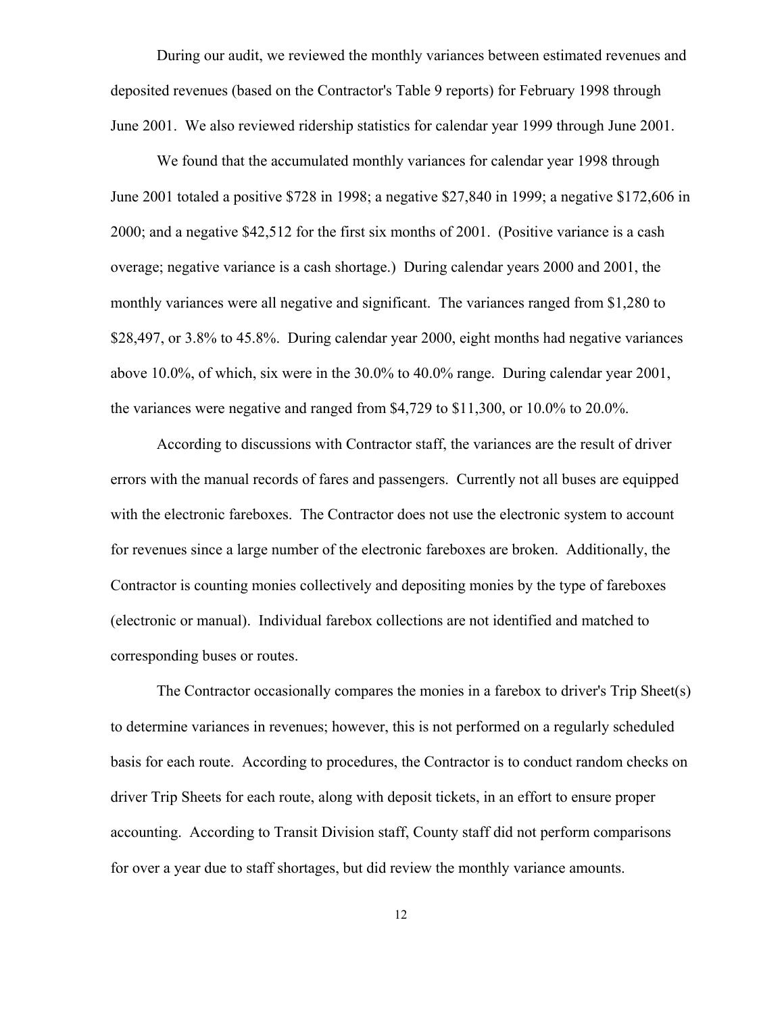During our audit, we reviewed the monthly variances between estimated revenues and deposited revenues (based on the Contractor's Table 9 reports) for February 1998 through June 2001. We also reviewed ridership statistics for calendar year 1999 through June 2001.

We found that the accumulated monthly variances for calendar year 1998 through June 2001 totaled a positive \$728 in 1998; a negative \$27,840 in 1999; a negative \$172,606 in 2000; and a negative \$42,512 for the first six months of 2001. (Positive variance is a cash overage; negative variance is a cash shortage.) During calendar years 2000 and 2001, the monthly variances were all negative and significant. The variances ranged from \$1,280 to \$28,497, or 3.8% to 45.8%. During calendar year 2000, eight months had negative variances above 10.0%, of which, six were in the 30.0% to 40.0% range. During calendar year 2001, the variances were negative and ranged from \$4,729 to \$11,300, or 10.0% to 20.0%.

According to discussions with Contractor staff, the variances are the result of driver errors with the manual records of fares and passengers. Currently not all buses are equipped with the electronic fareboxes. The Contractor does not use the electronic system to account for revenues since a large number of the electronic fareboxes are broken. Additionally, the Contractor is counting monies collectively and depositing monies by the type of fareboxes (electronic or manual). Individual farebox collections are not identified and matched to corresponding buses or routes.

The Contractor occasionally compares the monies in a farebox to driver's Trip Sheet(s) to determine variances in revenues; however, this is not performed on a regularly scheduled basis for each route. According to procedures, the Contractor is to conduct random checks on driver Trip Sheets for each route, along with deposit tickets, in an effort to ensure proper accounting. According to Transit Division staff, County staff did not perform comparisons for over a year due to staff shortages, but did review the monthly variance amounts.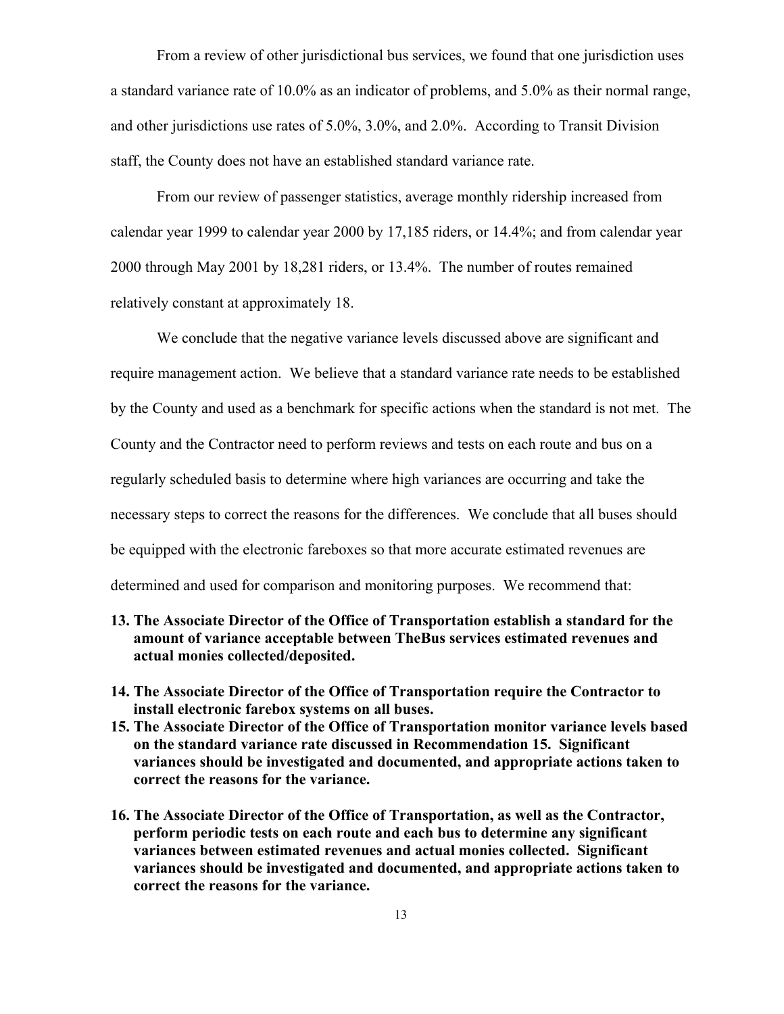From a review of other jurisdictional bus services, we found that one jurisdiction uses a standard variance rate of 10.0% as an indicator of problems, and 5.0% as their normal range, and other jurisdictions use rates of 5.0%, 3.0%, and 2.0%. According to Transit Division staff, the County does not have an established standard variance rate.

From our review of passenger statistics, average monthly ridership increased from calendar year 1999 to calendar year 2000 by 17,185 riders, or 14.4%; and from calendar year 2000 through May 2001 by 18,281 riders, or 13.4%. The number of routes remained relatively constant at approximately 18.

We conclude that the negative variance levels discussed above are significant and require management action. We believe that a standard variance rate needs to be established by the County and used as a benchmark for specific actions when the standard is not met. The County and the Contractor need to perform reviews and tests on each route and bus on a regularly scheduled basis to determine where high variances are occurring and take the necessary steps to correct the reasons for the differences. We conclude that all buses should be equipped with the electronic fareboxes so that more accurate estimated revenues are determined and used for comparison and monitoring purposes. We recommend that:

# **13. The Associate Director of the Office of Transportation establish a standard for the amount of variance acceptable between TheBus services estimated revenues and actual monies collected/deposited.**

- **14. The Associate Director of the Office of Transportation require the Contractor to install electronic farebox systems on all buses.**
- **15. The Associate Director of the Office of Transportation monitor variance levels based on the standard variance rate discussed in Recommendation 15. Significant variances should be investigated and documented, and appropriate actions taken to correct the reasons for the variance.**
- **16. The Associate Director of the Office of Transportation, as well as the Contractor, perform periodic tests on each route and each bus to determine any significant variances between estimated revenues and actual monies collected. Significant variances should be investigated and documented, and appropriate actions taken to correct the reasons for the variance.**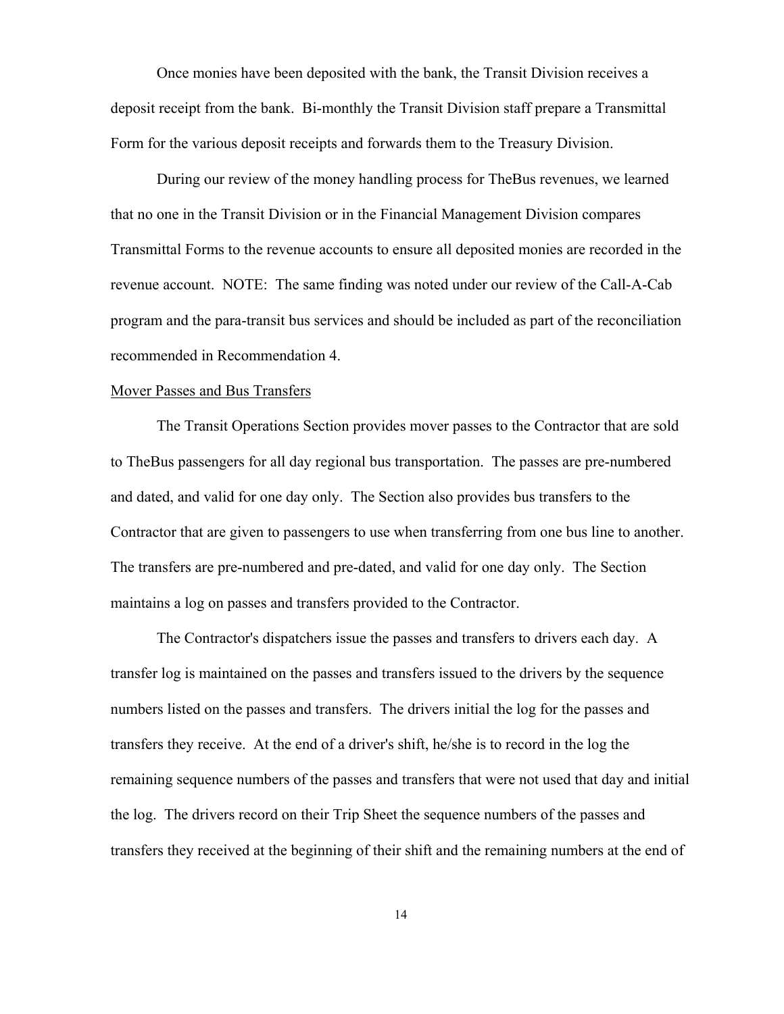Once monies have been deposited with the bank, the Transit Division receives a deposit receipt from the bank. Bi-monthly the Transit Division staff prepare a Transmittal Form for the various deposit receipts and forwards them to the Treasury Division.

During our review of the money handling process for TheBus revenues, we learned that no one in the Transit Division or in the Financial Management Division compares Transmittal Forms to the revenue accounts to ensure all deposited monies are recorded in the revenue account. NOTE: The same finding was noted under our review of the Call-A-Cab program and the para-transit bus services and should be included as part of the reconciliation recommended in Recommendation 4.

#### Mover Passes and Bus Transfers

The Transit Operations Section provides mover passes to the Contractor that are sold to TheBus passengers for all day regional bus transportation. The passes are pre-numbered and dated, and valid for one day only. The Section also provides bus transfers to the Contractor that are given to passengers to use when transferring from one bus line to another. The transfers are pre-numbered and pre-dated, and valid for one day only. The Section maintains a log on passes and transfers provided to the Contractor.

The Contractor's dispatchers issue the passes and transfers to drivers each day. A transfer log is maintained on the passes and transfers issued to the drivers by the sequence numbers listed on the passes and transfers. The drivers initial the log for the passes and transfers they receive. At the end of a driver's shift, he/she is to record in the log the remaining sequence numbers of the passes and transfers that were not used that day and initial the log. The drivers record on their Trip Sheet the sequence numbers of the passes and transfers they received at the beginning of their shift and the remaining numbers at the end of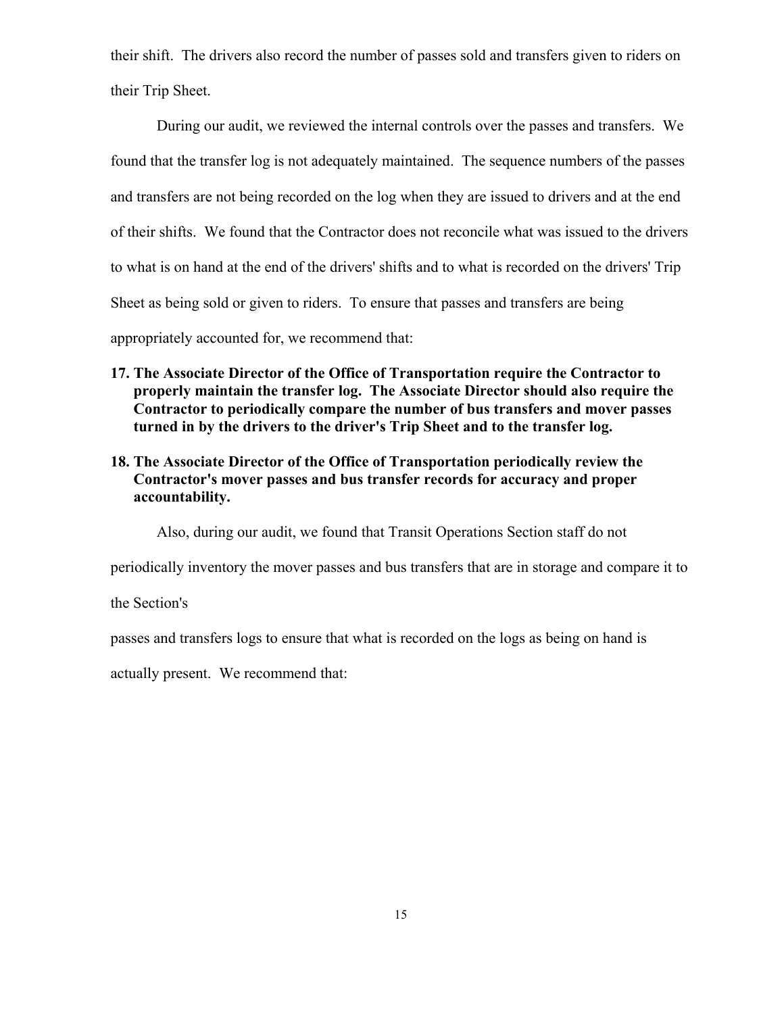their shift. The drivers also record the number of passes sold and transfers given to riders on their Trip Sheet.

During our audit, we reviewed the internal controls over the passes and transfers. We found that the transfer log is not adequately maintained. The sequence numbers of the passes and transfers are not being recorded on the log when they are issued to drivers and at the end of their shifts. We found that the Contractor does not reconcile what was issued to the drivers to what is on hand at the end of the drivers' shifts and to what is recorded on the drivers' Trip Sheet as being sold or given to riders. To ensure that passes and transfers are being appropriately accounted for, we recommend that:

- **17. The Associate Director of the Office of Transportation require the Contractor to properly maintain the transfer log. The Associate Director should also require the Contractor to periodically compare the number of bus transfers and mover passes turned in by the drivers to the driver's Trip Sheet and to the transfer log.**
- **18. The Associate Director of the Office of Transportation periodically review the Contractor's mover passes and bus transfer records for accuracy and proper accountability.**

Also, during our audit, we found that Transit Operations Section staff do not

periodically inventory the mover passes and bus transfers that are in storage and compare it to

the Section's

passes and transfers logs to ensure that what is recorded on the logs as being on hand is

actually present. We recommend that: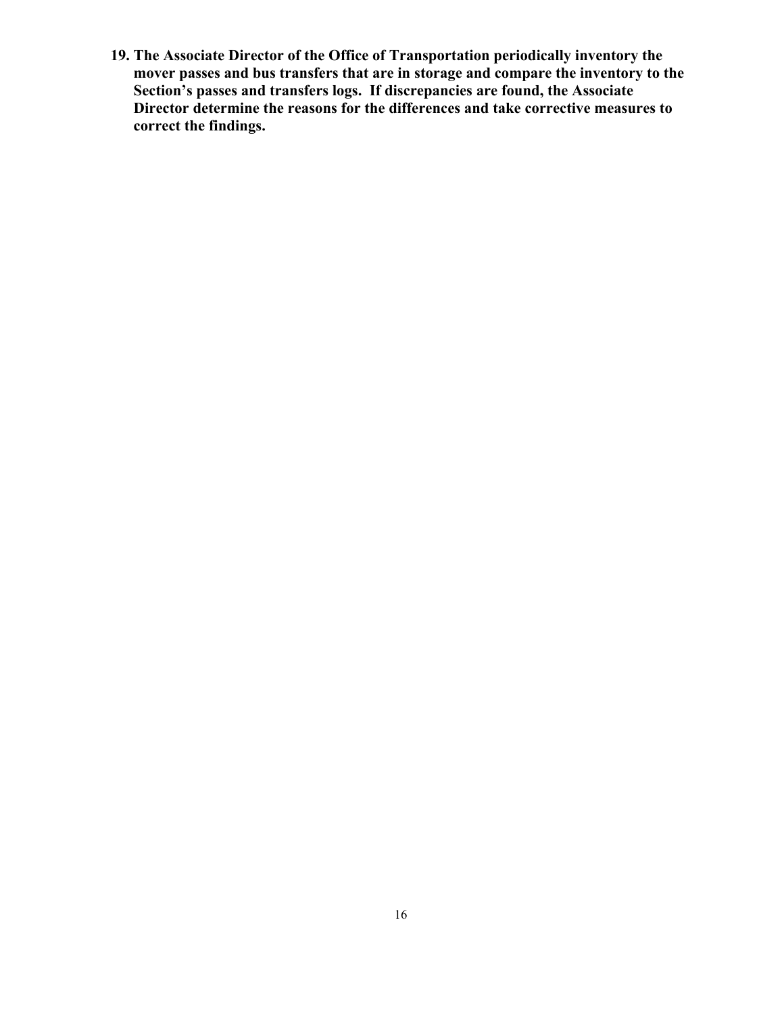**19. The Associate Director of the Office of Transportation periodically inventory the mover passes and bus transfers that are in storage and compare the inventory to the Section's passes and transfers logs. If discrepancies are found, the Associate Director determine the reasons for the differences and take corrective measures to correct the findings.**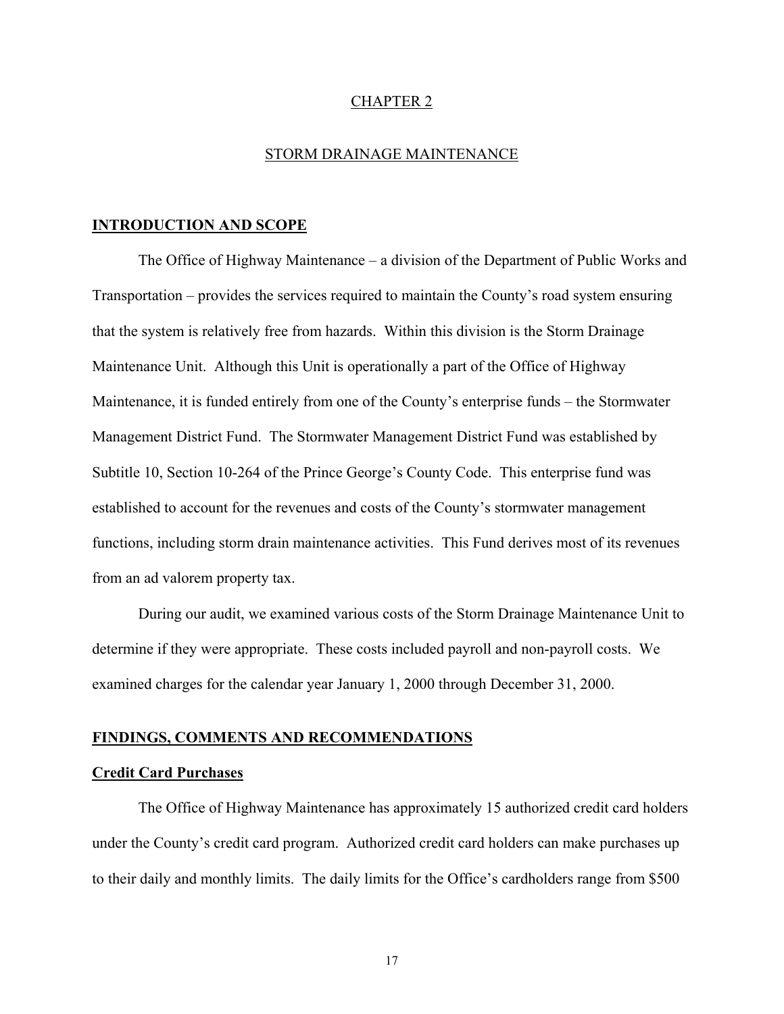### CHAPTER 2

### STORM DRAINAGE MAINTENANCE

### **INTRODUCTION AND SCOPE**

The Office of Highway Maintenance – a division of the Department of Public Works and Transportation – provides the services required to maintain the County's road system ensuring that the system is relatively free from hazards. Within this division is the Storm Drainage Maintenance Unit. Although this Unit is operationally a part of the Office of Highway Maintenance, it is funded entirely from one of the County's enterprise funds – the Stormwater Management District Fund. The Stormwater Management District Fund was established by Subtitle 10, Section 10-264 of the Prince George's County Code. This enterprise fund was established to account for the revenues and costs of the County's stormwater management functions, including storm drain maintenance activities. This Fund derives most of its revenues from an ad valorem property tax.

During our audit, we examined various costs of the Storm Drainage Maintenance Unit to determine if they were appropriate. These costs included payroll and non-payroll costs. We examined charges for the calendar year January 1, 2000 through December 31, 2000.

#### **FINDINGS, COMMENTS AND RECOMMENDATIONS**

#### **Credit Card Purchases**

The Office of Highway Maintenance has approximately 15 authorized credit card holders under the County's credit card program. Authorized credit card holders can make purchases up to their daily and monthly limits. The daily limits for the Office's cardholders range from \$500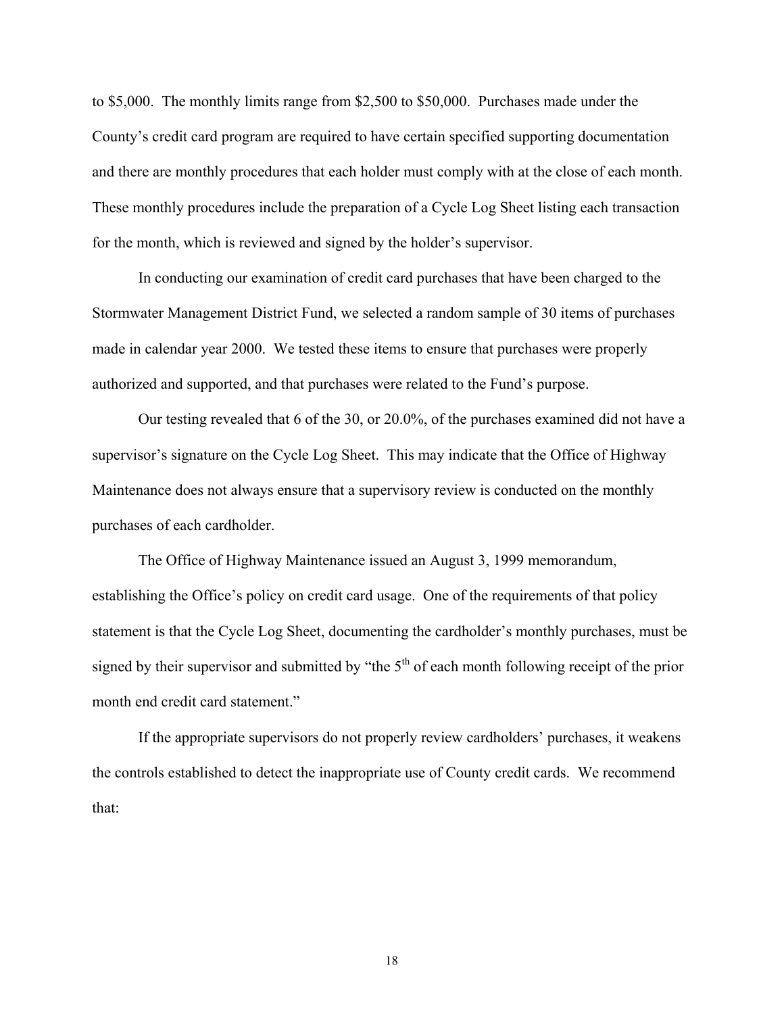to \$5,000. The monthly limits range from \$2,500 to \$50,000. Purchases made under the County's credit card program are required to have certain specified supporting documentation and there are monthly procedures that each holder must comply with at the close of each month. These monthly procedures include the preparation of a Cycle Log Sheet listing each transaction for the month, which is reviewed and signed by the holder's supervisor.

In conducting our examination of credit card purchases that have been charged to the Stormwater Management District Fund, we selected a random sample of 30 items of purchases made in calendar year 2000. We tested these items to ensure that purchases were properly authorized and supported, and that purchases were related to the Fund's purpose.

Our testing revealed that 6 of the 30, or 20.0%, of the purchases examined did not have a supervisor's signature on the Cycle Log Sheet. This may indicate that the Office of Highway Maintenance does not always ensure that a supervisory review is conducted on the monthly purchases of each cardholder.

The Office of Highway Maintenance issued an August 3, 1999 memorandum, establishing the Office's policy on credit card usage. One of the requirements of that policy statement is that the Cycle Log Sheet, documenting the cardholder's monthly purchases, must be signed by their supervisor and submitted by "the  $5<sup>th</sup>$  of each month following receipt of the prior month end credit card statement."

If the appropriate supervisors do not properly review cardholders' purchases, it weakens the controls established to detect the inappropriate use of County credit cards. We recommend that: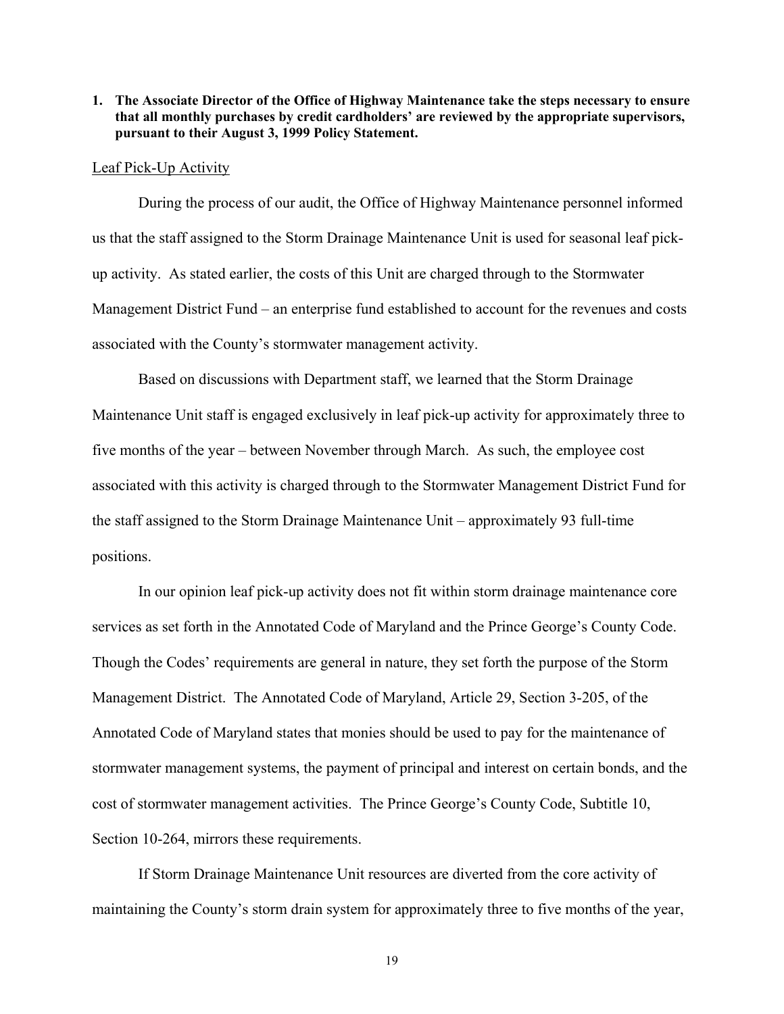#### **1. The Associate Director of the Office of Highway Maintenance take the steps necessary to ensure that all monthly purchases by credit cardholders' are reviewed by the appropriate supervisors, pursuant to their August 3, 1999 Policy Statement.**

#### Leaf Pick-Up Activity

During the process of our audit, the Office of Highway Maintenance personnel informed us that the staff assigned to the Storm Drainage Maintenance Unit is used for seasonal leaf pickup activity. As stated earlier, the costs of this Unit are charged through to the Stormwater Management District Fund – an enterprise fund established to account for the revenues and costs associated with the County's stormwater management activity.

Based on discussions with Department staff, we learned that the Storm Drainage Maintenance Unit staff is engaged exclusively in leaf pick-up activity for approximately three to five months of the year – between November through March. As such, the employee cost associated with this activity is charged through to the Stormwater Management District Fund for the staff assigned to the Storm Drainage Maintenance Unit – approximately 93 full-time positions.

In our opinion leaf pick-up activity does not fit within storm drainage maintenance core services as set forth in the Annotated Code of Maryland and the Prince George's County Code. Though the Codes' requirements are general in nature, they set forth the purpose of the Storm Management District. The Annotated Code of Maryland, Article 29, Section 3-205, of the Annotated Code of Maryland states that monies should be used to pay for the maintenance of stormwater management systems, the payment of principal and interest on certain bonds, and the cost of stormwater management activities. The Prince George's County Code, Subtitle 10, Section 10-264, mirrors these requirements.

If Storm Drainage Maintenance Unit resources are diverted from the core activity of maintaining the County's storm drain system for approximately three to five months of the year,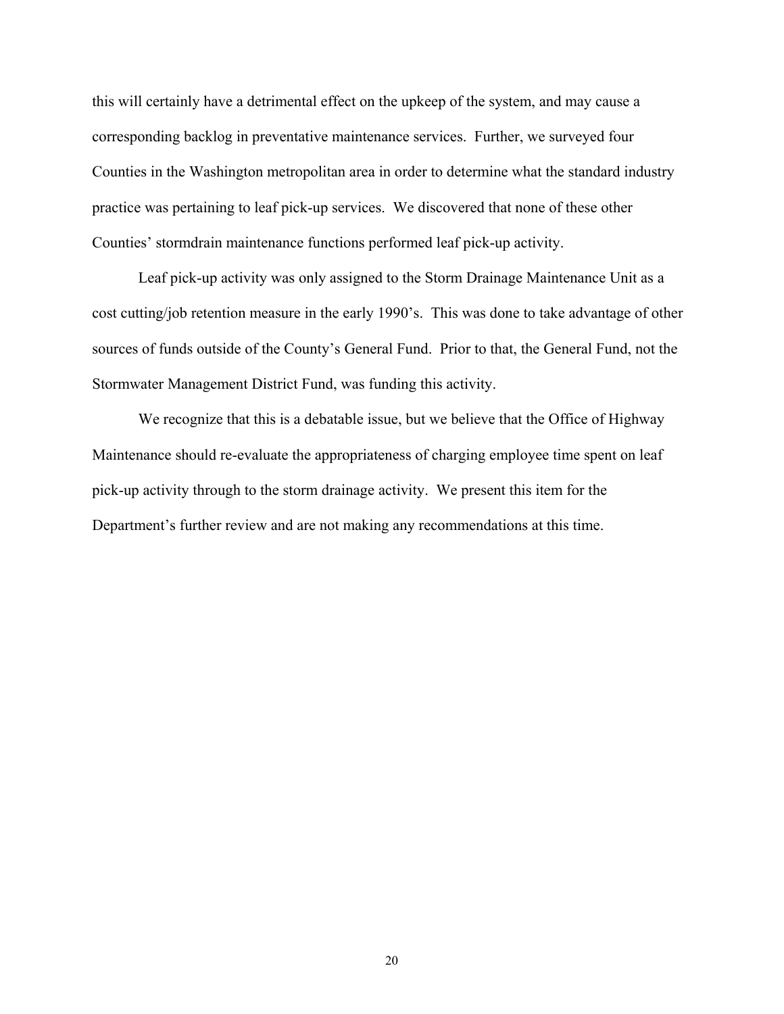this will certainly have a detrimental effect on the upkeep of the system, and may cause a corresponding backlog in preventative maintenance services. Further, we surveyed four Counties in the Washington metropolitan area in order to determine what the standard industry practice was pertaining to leaf pick-up services. We discovered that none of these other Counties' stormdrain maintenance functions performed leaf pick-up activity.

Leaf pick-up activity was only assigned to the Storm Drainage Maintenance Unit as a cost cutting/job retention measure in the early 1990's. This was done to take advantage of other sources of funds outside of the County's General Fund. Prior to that, the General Fund, not the Stormwater Management District Fund, was funding this activity.

We recognize that this is a debatable issue, but we believe that the Office of Highway Maintenance should re-evaluate the appropriateness of charging employee time spent on leaf pick-up activity through to the storm drainage activity. We present this item for the Department's further review and are not making any recommendations at this time.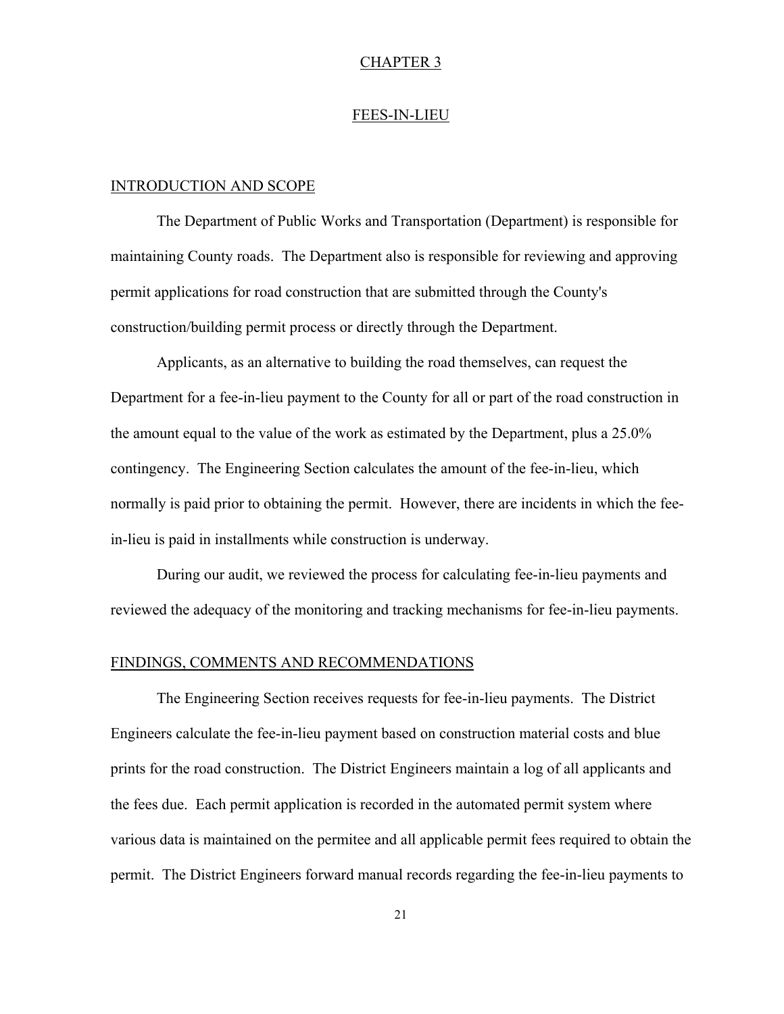### CHAPTER 3

### FEES-IN-LIEU

#### INTRODUCTION AND SCOPE

The Department of Public Works and Transportation (Department) is responsible for maintaining County roads. The Department also is responsible for reviewing and approving permit applications for road construction that are submitted through the County's construction/building permit process or directly through the Department.

Applicants, as an alternative to building the road themselves, can request the Department for a fee-in-lieu payment to the County for all or part of the road construction in the amount equal to the value of the work as estimated by the Department, plus a 25.0% contingency. The Engineering Section calculates the amount of the fee-in-lieu, which normally is paid prior to obtaining the permit. However, there are incidents in which the feein-lieu is paid in installments while construction is underway.

During our audit, we reviewed the process for calculating fee-in-lieu payments and reviewed the adequacy of the monitoring and tracking mechanisms for fee-in-lieu payments.

### FINDINGS, COMMENTS AND RECOMMENDATIONS

The Engineering Section receives requests for fee-in-lieu payments. The District Engineers calculate the fee-in-lieu payment based on construction material costs and blue prints for the road construction. The District Engineers maintain a log of all applicants and the fees due. Each permit application is recorded in the automated permit system where various data is maintained on the permitee and all applicable permit fees required to obtain the permit. The District Engineers forward manual records regarding the fee-in-lieu payments to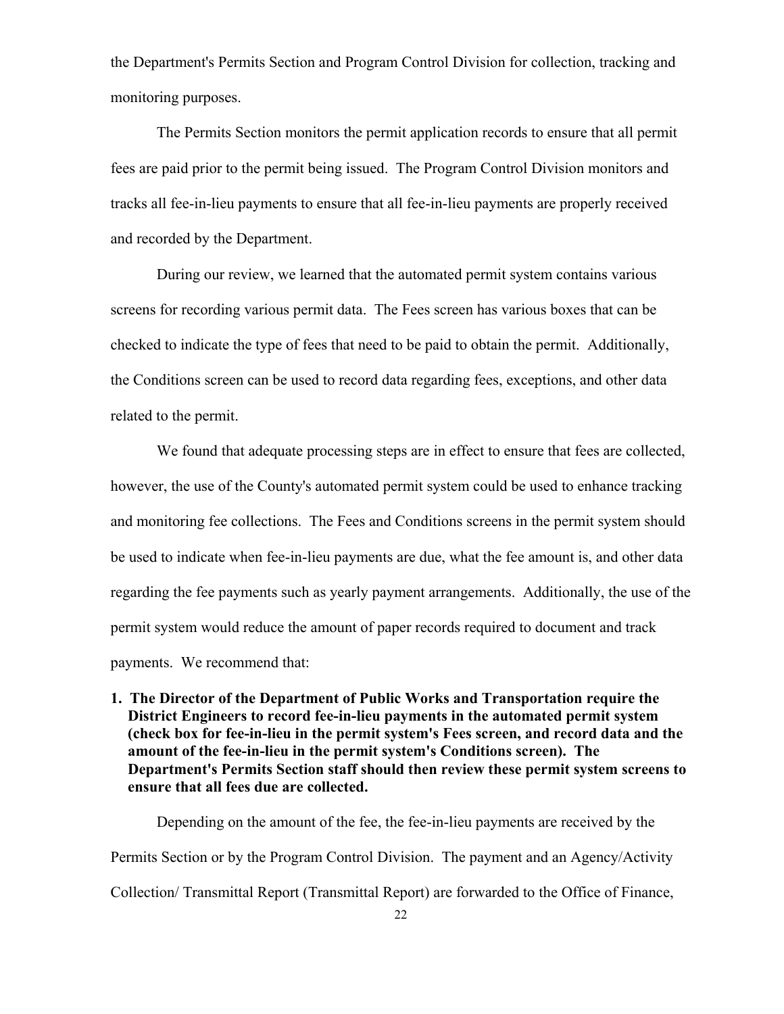the Department's Permits Section and Program Control Division for collection, tracking and monitoring purposes.

The Permits Section monitors the permit application records to ensure that all permit fees are paid prior to the permit being issued. The Program Control Division monitors and tracks all fee-in-lieu payments to ensure that all fee-in-lieu payments are properly received and recorded by the Department.

During our review, we learned that the automated permit system contains various screens for recording various permit data. The Fees screen has various boxes that can be checked to indicate the type of fees that need to be paid to obtain the permit. Additionally, the Conditions screen can be used to record data regarding fees, exceptions, and other data related to the permit.

We found that adequate processing steps are in effect to ensure that fees are collected, however, the use of the County's automated permit system could be used to enhance tracking and monitoring fee collections. The Fees and Conditions screens in the permit system should be used to indicate when fee-in-lieu payments are due, what the fee amount is, and other data regarding the fee payments such as yearly payment arrangements. Additionally, the use of the permit system would reduce the amount of paper records required to document and track payments. We recommend that:

**1. The Director of the Department of Public Works and Transportation require the District Engineers to record fee-in-lieu payments in the automated permit system (check box for fee-in-lieu in the permit system's Fees screen, and record data and the amount of the fee-in-lieu in the permit system's Conditions screen). The Department's Permits Section staff should then review these permit system screens to ensure that all fees due are collected.**

Depending on the amount of the fee, the fee-in-lieu payments are received by the Permits Section or by the Program Control Division. The payment and an Agency/Activity Collection/ Transmittal Report (Transmittal Report) are forwarded to the Office of Finance,